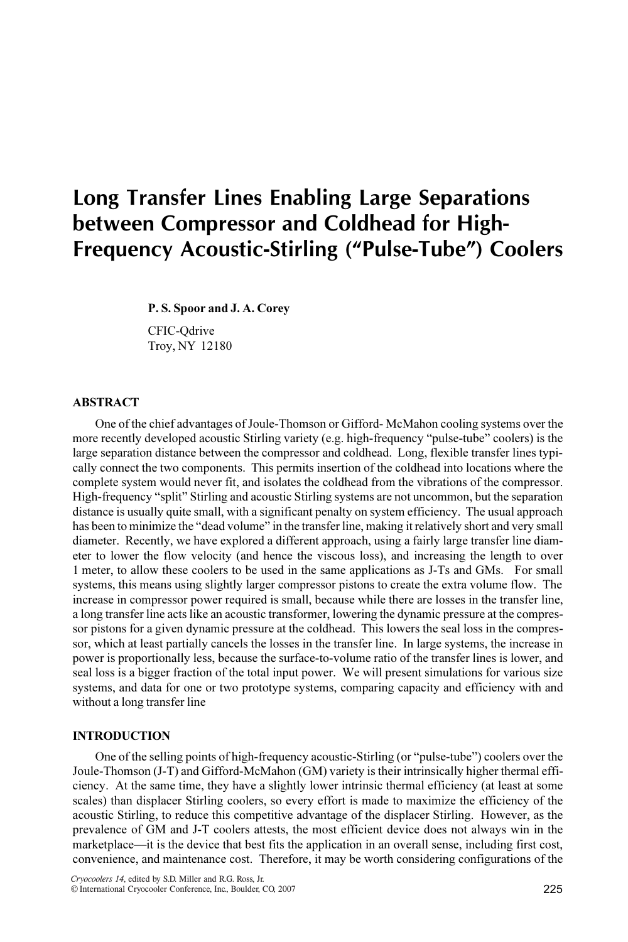# Long Transfer Lines Enabling Large Separations between Compressor and Coldhead for High-Frequency Acoustic-Stirling ("Pulse-Tube") Coolers

P. S. Spoor and J. A. Corey

CFIC-Qdrive Troy, NY 12180

### ABSTRACT

One of the chief advantages of Joule-Thomson or Gifford- McMahon cooling systems over the more recently developed acoustic Stirling variety (e.g. high-frequency "pulse-tube" coolers) is the large separation distance between the compressor and coldhead. Long, flexible transfer lines typically connect the two components. This permits insertion of the coldhead into locations where the complete system would never fit, and isolates the coldhead from the vibrations of the compressor. High-frequency "split" Stirling and acoustic Stirling systems are not uncommon, but the separation distance is usually quite small, with a significant penalty on system efficiency. The usual approach has been to minimize the "dead volume" in the transfer line, making it relatively short and very small diameter. Recently, we have explored a different approach, using a fairly large transfer line diameter to lower the flow velocity (and hence the viscous loss), and increasing the length to over 1 meter, to allow these coolers to be used in the same applications as J-Ts and GMs. For small systems, this means using slightly larger compressor pistons to create the extra volume flow. The increase in compressor power required is small, because while there are losses in the transfer line, a long transfer line acts like an acoustic transformer, lowering the dynamic pressure at the compressor pistons for a given dynamic pressure at the coldhead. This lowers the seal loss in the compressor, which at least partially cancels the losses in the transfer line. In large systems, the increase in power is proportionally less, because the surface-to-volume ratio of the transfer lines is lower, and seal loss is a bigger fraction of the total input power. We will present simulations for various size systems, and data for one or two prototype systems, comparing capacity and efficiency with and without a long transfer line

#### **INTRODUCTION**

One of the selling points of high-frequency acoustic-Stirling (or "pulse-tube") coolers over the Joule-Thomson (J-T) and Gifford-McMahon (GM) variety is their intrinsically higher thermal efficiency. At the same time, they have a slightly lower intrinsic thermal efficiency (at least at some scales) than displacer Stirling coolers, so every effort is made to maximize the efficiency of the acoustic Stirling, to reduce this competitive advantage of the displacer Stirling. However, as the prevalence of GM and J-T coolers attests, the most efficient device does not always win in the marketplace—it is the device that best fits the application in an overall sense, including first cost, convenience, and maintenance cost. Therefore, it may be worth considering configurations of the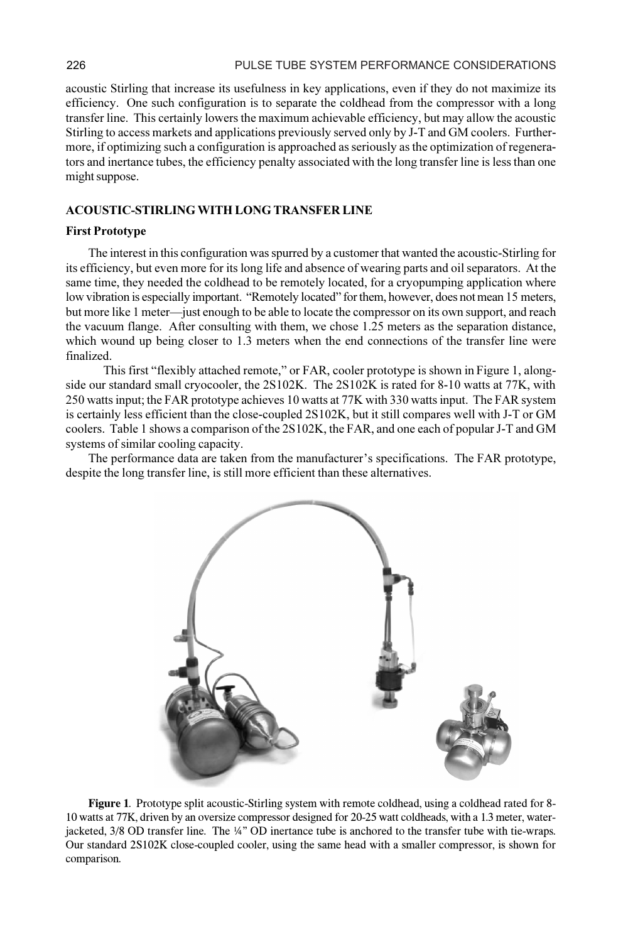acoustic Stirling that increase its usefulness in key applications, even if they do not maximize its efficiency. One such configuration is to separate the coldhead from the compressor with a long transfer line. This certainly lowers the maximum achievable efficiency, but may allow the acoustic Stirling to access markets and applications previously served only by J-T and GM coolers. Furthermore, if optimizing such a configuration is approached as seriously as the optimization of regenerators and inertance tubes, the efficiency penalty associated with the long transfer line is less than one might suppose.

## ACOUSTIC-STIRLING WITH LONG TRANSFER LINE

#### First Prototype

The interest in this configuration was spurred by a customer that wanted the acoustic-Stirling for its efficiency, but even more for its long life and absence of wearing parts and oil separators. At the same time, they needed the coldhead to be remotely located, for a cryopumping application where low vibration is especially important. "Remotely located" for them, however, does not mean 15 meters, but more like 1 meter—just enough to be able to locate the compressor on its own support, and reach the vacuum flange. After consulting with them, we chose 1.25 meters as the separation distance, which wound up being closer to 1.3 meters when the end connections of the transfer line were finalized.

This first "flexibly attached remote," or FAR, cooler prototype is shown in Figure 1, alongside our standard small cryocooler, the 2S102K. The 2S102K is rated for 8-10 watts at 77K, with 250 watts input; the FAR prototype achieves 10 watts at 77K with 330 watts input. The FAR system is certainly less efficient than the close-coupled 2S102K, but it still compares well with J-T or GM coolers. Table 1 shows a comparison of the 2S102K, the FAR, and one each of popular J-T and GM systems of similar cooling capacity.

The performance data are taken from the manufacturer's specifications. The FAR prototype, despite the long transfer line, is still more efficient than these alternatives.



Figure 1. Prototype split acoustic-Stirling system with remote coldhead, using a coldhead rated for 8- 10 watts at 77K, driven by an oversize compressor designed for 20-25 watt coldheads, with a 1.3 meter, waterjacketed, 3/8 OD transfer line. The ¼" OD inertance tube is anchored to the transfer tube with tie-wraps. Our standard 2S102K close-coupled cooler, using the same head with a smaller compressor, is shown for comparison.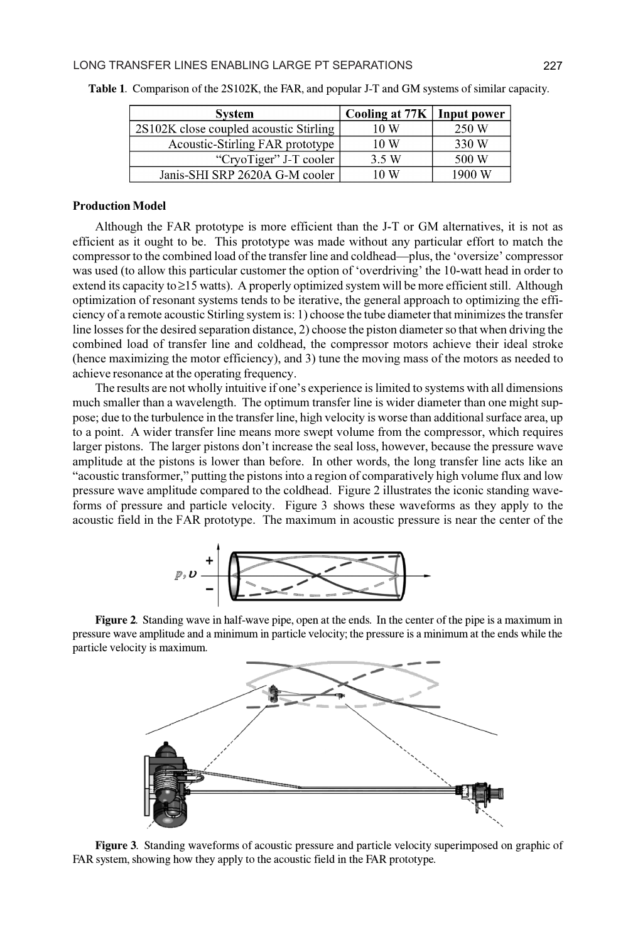| <b>System</b>                          | Cooling at 77K   Input power |        |
|----------------------------------------|------------------------------|--------|
| 2S102K close coupled acoustic Stirling | 10 W                         | 250 W  |
| Acoustic-Stirling FAR prototype        | 10W                          | 330 W  |
| "CryoTiger" J-T cooler                 | 3.5 W                        | 500 W  |
| Janis-SHI SRP 2620A G-M cooler         | 10 W                         | 1900 W |

Table 1. Comparison of the 2S102K, the FAR, and popular J-T and GM systems of similar capacity.

#### Production Model

Although the FAR prototype is more efficient than the J-T or GM alternatives, it is not as efficient as it ought to be. This prototype was made without any particular effort to match the compressor to the combined load of the transfer line and coldhead—plus, the 'oversize' compressor was used (to allow this particular customer the option of 'overdriving' the 10-watt head in order to extend its capacity to  $\geq$ 15 watts). A properly optimized system will be more efficient still. Although optimization of resonant systems tends to be iterative, the general approach to optimizing the efficiency of a remote acoustic Stirling system is: 1) choose the tube diameter that minimizes the transfer line losses for the desired separation distance, 2) choose the piston diameter so that when driving the combined load of transfer line and coldhead, the compressor motors achieve their ideal stroke (hence maximizing the motor efficiency), and 3) tune the moving mass of the motors as needed to achieve resonance at the operating frequency.

The results are not wholly intuitive if one's experience is limited to systems with all dimensions much smaller than a wavelength. The optimum transfer line is wider diameter than one might suppose; due to the turbulence in the transfer line, high velocity is worse than additional surface area, up to a point. A wider transfer line means more swept volume from the compressor, which requires larger pistons. The larger pistons don't increase the seal loss, however, because the pressure wave amplitude at the pistons is lower than before. In other words, the long transfer line acts like an "acoustic transformer," putting the pistons into a region of comparatively high volume flux and low pressure wave amplitude compared to the coldhead. Figure 2 illustrates the iconic standing waveforms of pressure and particle velocity. Figure 3 shows these waveforms as they apply to the acoustic field in the FAR prototype. The maximum in acoustic pressure is near the center of the



Figure 2. Standing wave in half-wave pipe, open at the ends. In the center of the pipe is a maximum in pressure wave amplitude and a minimum in particle velocity; the pressure is a minimum at the ends while the particle velocity is maximum.



Figure 3. Standing waveforms of acoustic pressure and particle velocity superimposed on graphic of FAR system, showing how they apply to the acoustic field in the FAR prototype.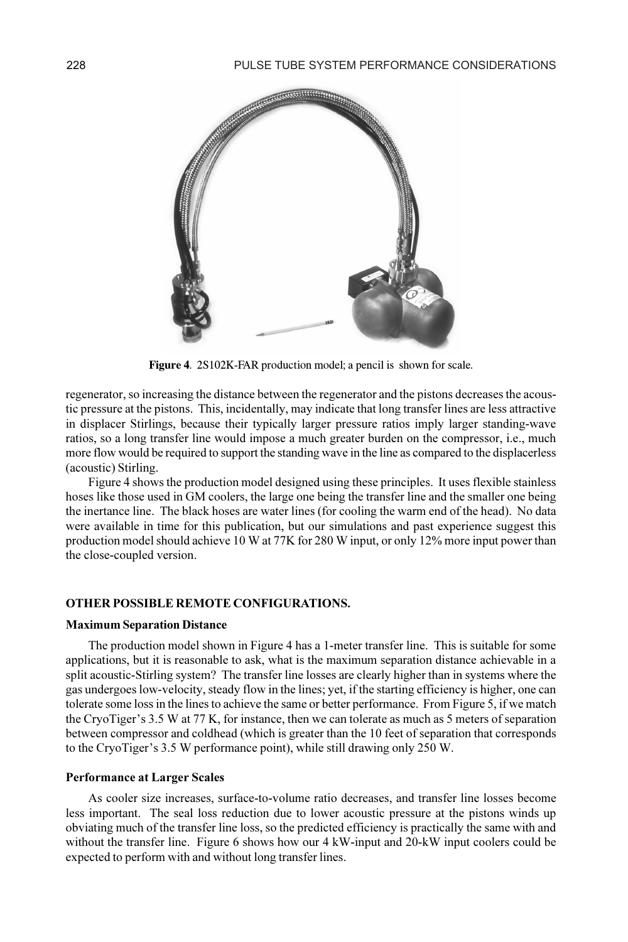

Figure 4. 2S102K-FAR production model; a pencil is shown for scale.

regenerator, so increasing the distance between the regenerator and the pistons decreases the acoustic pressure at the pistons. This, incidentally, may indicate that long transfer lines are less attractive in displacer Stirlings, because their typically larger pressure ratios imply larger standing-wave ratios, so a long transfer line would impose a much greater burden on the compressor, i.e., much more flow would be required to support the standing wave in the line as compared to the displacerless (acoustic) Stirling.

Figure 4 shows the production model designed using these principles. It uses flexible stainless hoses like those used in GM coolers, the large one being the transfer line and the smaller one being the inertance line. The black hoses are water lines (for cooling the warm end of the head). No data were available in time for this publication, but our simulations and past experience suggest this production model should achieve 10 W at 77K for 280 W input, or only 12% more input power than the close-coupled version.

### OTHER POSSIBLE REMOTE CONFIGURATIONS.

#### Maximum Separation Distance

The production model shown in Figure 4 has a 1-meter transfer line. This is suitable for some applications, but it is reasonable to ask, what is the maximum separation distance achievable in a split acoustic-Stirling system? The transfer line losses are clearly higher than in systems where the gas undergoes low-velocity, steady flow in the lines; yet, if the starting efficiency is higher, one can tolerate some loss in the lines to achieve the same or better performance. From Figure 5, if we match the CryoTiger's 3.5 W at 77 K, for instance, then we can tolerate as much as 5 meters of separation between compressor and coldhead (which is greater than the 10 feet of separation that corresponds to the CryoTiger's 3.5 W performance point), while still drawing only 250 W.

## Performance at Larger Scales

As cooler size increases, surface-to-volume ratio decreases, and transfer line losses become less important. The seal loss reduction due to lower acoustic pressure at the pistons winds up obviating much of the transfer line loss, so the predicted efficiency is practically the same with and without the transfer line. Figure 6 shows how our 4 kW-input and 20-kW input coolers could be expected to perform with and without long transfer lines.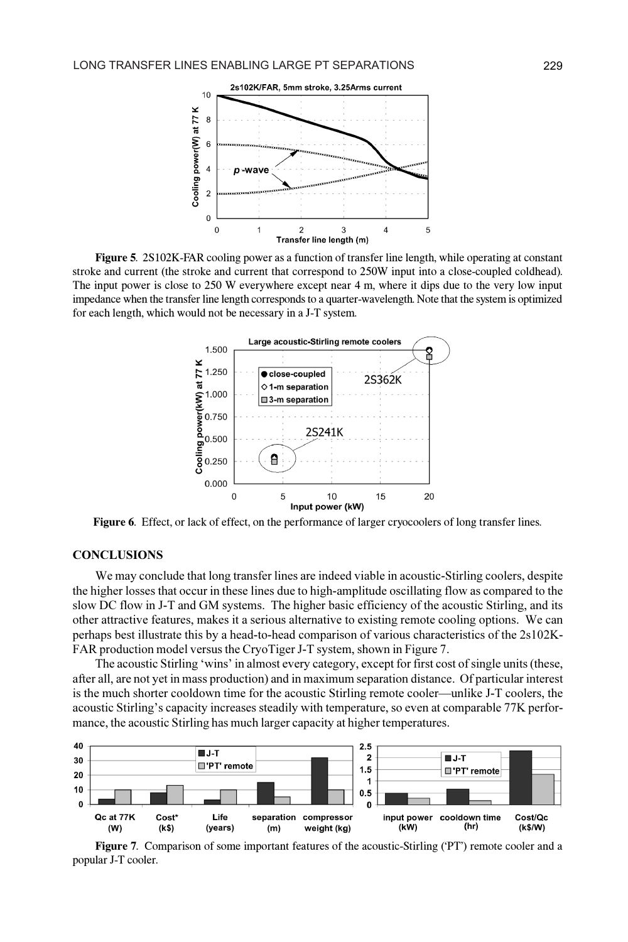

Figure 5. 2S102K-FAR cooling power as a function of transfer line length, while operating at constant stroke and current (the stroke and current that correspond to 250W input into a close-coupled coldhead). The input power is close to 250 W everywhere except near 4 m, where it dips due to the very low input impedance when the transfer line length corresponds to a quarter-wavelength. Note that the system is optimized for each length, which would not be necessary in a J-T system.



Figure 6. Effect, or lack of effect, on the performance of larger cryocoolers of long transfer lines.

## concerte de la concerte de la concerte de la concerte de la concerte de la concerte de la concerte de la concerte de la concerte de la concerte de la concerte de la concerte de la concerte de la concerte de la concerte de

We may conclude that long transfer lines are indeed viable in acoustic-Stirling coolers, despite the higher losses that occur in these lines due to high-amplitude oscillating flow as compared to the slow DC flow in J-T and GM systems. The higher basic efficiency of the acoustic Stirling, and its other attractive features, makes it a serious alternative to existing remote cooling options. We can perhaps best illustrate this by a head-to-head comparison of various characteristics of the 2s102K-FAR production model versus the CryoTiger J-T system, shown in Figure 7.

The acoustic Stirling 'wins' in almost every category, except for first cost of single units (these, after all, are not yet in mass production) and in maximum separation distance. Of particular interest is the much shorter cooldown time for the acoustic Stirling remote cooler—unlike J-T coolers, the acoustic Stirling's capacity increases steadily with temperature, so even at comparable 77K performance, the acoustic Stirling has much larger capacity at higher temperatures.



Figure 7. Comparison of some important features of the acoustic-Stirling ('PT') remote cooler and a popular J-T cooler.